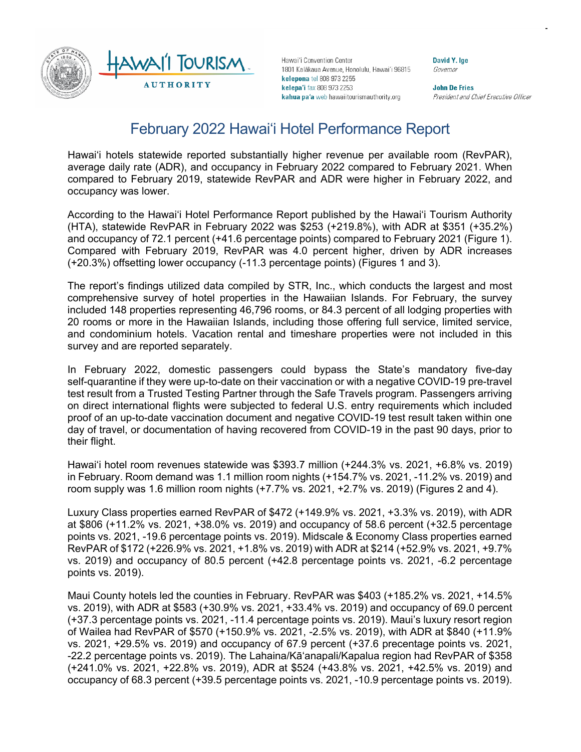

Hawai'i Convention Center 1801 Kalākaua Avenue, Honolulu, Hawai'i 96815 kelepona tel 808 973 2255 kelepa'i fax 808 973 2253 kahua pa'a web hawaiitourismauthority.org

**David Y. Ige** Governor

**John De Fries** President and Chief Executive Officer

# February 2022 Hawai'i Hotel Performance Report

Hawai'i hotels statewide reported substantially higher revenue per available room (RevPAR), average daily rate (ADR), and occupancy in February 2022 compared to February 2021. When compared to February 2019, statewide RevPAR and ADR were higher in February 2022, and occupancy was lower.

According to the Hawai'i Hotel Performance Report published by the Hawai'i Tourism Authority (HTA), statewide RevPAR in February 2022 was \$253 (+219.8%), with ADR at \$351 (+35.2%) and occupancy of 72.1 percent (+41.6 percentage points) compared to February 2021 (Figure 1). Compared with February 2019, RevPAR was 4.0 percent higher, driven by ADR increases (+20.3%) offsetting lower occupancy (-11.3 percentage points) (Figures 1 and 3).

The report's findings utilized data compiled by STR, Inc., which conducts the largest and most comprehensive survey of hotel properties in the Hawaiian Islands. For February, the survey included 148 properties representing 46,796 rooms, or 84.3 percent of all lodging properties with 20 rooms or more in the Hawaiian Islands, including those offering full service, limited service, and condominium hotels. Vacation rental and timeshare properties were not included in this survey and are reported separately.

In February 2022, domestic passengers could bypass the State's mandatory five-day self-quarantine if they were up-to-date on their vaccination or with a negative COVID-19 pre-travel test result from a Trusted Testing Partner through the Safe Travels program. Passengers arriving on direct international flights were subjected to federal U.S. entry requirements which included proof of an up-to-date vaccination document and negative COVID-19 test result taken within one day of travel, or documentation of having recovered from COVID-19 in the past 90 days, prior to their flight.

Hawai'i hotel room revenues statewide was \$393.7 million (+244.3% vs. 2021, +6.8% vs. 2019) in February. Room demand was 1.1 million room nights (+154.7% vs. 2021, -11.2% vs. 2019) and room supply was 1.6 million room nights (+7.7% vs. 2021, +2.7% vs. 2019) (Figures 2 and 4).

Luxury Class properties earned RevPAR of \$472 (+149.9% vs. 2021, +3.3% vs. 2019), with ADR at \$806 (+11.2% vs. 2021, +38.0% vs. 2019) and occupancy of 58.6 percent (+32.5 percentage points vs. 2021, -19.6 percentage points vs. 2019). Midscale & Economy Class properties earned RevPAR of \$172 (+226.9% vs. 2021, +1.8% vs. 2019) with ADR at \$214 (+52.9% vs. 2021, +9.7% vs. 2019) and occupancy of 80.5 percent (+42.8 percentage points vs. 2021, -6.2 percentage points vs. 2019).

Maui County hotels led the counties in February. RevPAR was \$403 (+185.2% vs. 2021, +14.5% vs. 2019), with ADR at \$583 (+30.9% vs. 2021, +33.4% vs. 2019) and occupancy of 69.0 percent (+37.3 percentage points vs. 2021, -11.4 percentage points vs. 2019). Maui's luxury resort region of Wailea had RevPAR of \$570 (+150.9% vs. 2021, -2.5% vs. 2019), with ADR at \$840 (+11.9% vs. 2021, +29.5% vs. 2019) and occupancy of 67.9 percent (+37.6 precentage points vs. 2021, -22.2 percentage points vs. 2019). The Lahaina/Kā'anapali/Kapalua region had RevPAR of \$358 (+241.0% vs. 2021, +22.8% vs. 2019), ADR at \$524 (+43.8% vs. 2021, +42.5% vs. 2019) and occupancy of 68.3 percent (+39.5 percentage points vs. 2021, -10.9 percentage points vs. 2019).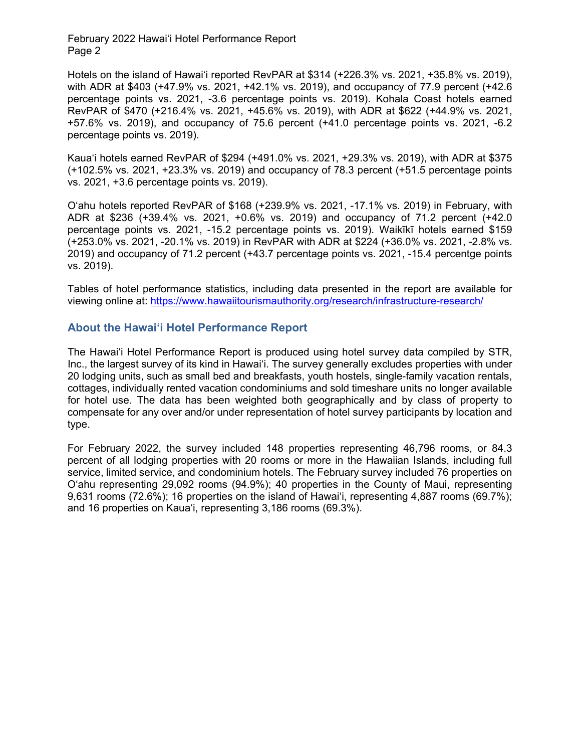Hotels on the island of Hawai'i reported RevPAR at \$314 (+226.3% vs. 2021, +35.8% vs. 2019), with ADR at \$403 (+47.9% vs. 2021, +42.1% vs. 2019), and occupancy of 77.9 percent (+42.6 percentage points vs. 2021, -3.6 percentage points vs. 2019). Kohala Coast hotels earned RevPAR of \$470 (+216.4% vs. 2021, +45.6% vs. 2019), with ADR at \$622 (+44.9% vs. 2021, +57.6% vs. 2019), and occupancy of 75.6 percent (+41.0 percentage points vs. 2021, -6.2 percentage points vs. 2019).

Kaua'i hotels earned RevPAR of \$294 (+491.0% vs. 2021, +29.3% vs. 2019), with ADR at \$375 (+102.5% vs. 2021, +23.3% vs. 2019) and occupancy of 78.3 percent (+51.5 percentage points vs. 2021, +3.6 percentage points vs. 2019).

O'ahu hotels reported RevPAR of \$168 (+239.9% vs. 2021, -17.1% vs. 2019) in February, with ADR at \$236 (+39.4% vs. 2021, +0.6% vs. 2019) and occupancy of 71.2 percent (+42.0 percentage points vs. 2021, -15.2 percentage points vs. 2019). Waikīkī hotels earned \$159 (+253.0% vs. 2021, -20.1% vs. 2019) in RevPAR with ADR at \$224 (+36.0% vs. 2021, -2.8% vs. 2019) and occupancy of 71.2 percent (+43.7 percentage points vs. 2021, -15.4 percentge points vs. 2019).

Tables of hotel performance statistics, including data presented in the report are available for viewing online at: <https://www.hawaiitourismauthority.org/research/infrastructure-research/>

## **About the Hawai'i Hotel Performance Report**

The Hawai'i Hotel Performance Report is produced using hotel survey data compiled by STR, Inc., the largest survey of its kind in Hawai'i. The survey generally excludes properties with under 20 lodging units, such as small bed and breakfasts, youth hostels, single-family vacation rentals, cottages, individually rented vacation condominiums and sold timeshare units no longer available for hotel use. The data has been weighted both geographically and by class of property to compensate for any over and/or under representation of hotel survey participants by location and type.

For February 2022, the survey included 148 properties representing 46,796 rooms, or 84.3 percent of all lodging properties with 20 rooms or more in the Hawaiian Islands, including full service, limited service, and condominium hotels. The February survey included 76 properties on O'ahu representing 29,092 rooms (94.9%); 40 properties in the County of Maui, representing 9,631 rooms (72.6%); 16 properties on the island of Hawai'i, representing 4,887 rooms (69.7%); and 16 properties on Kaua'i, representing 3,186 rooms (69.3%).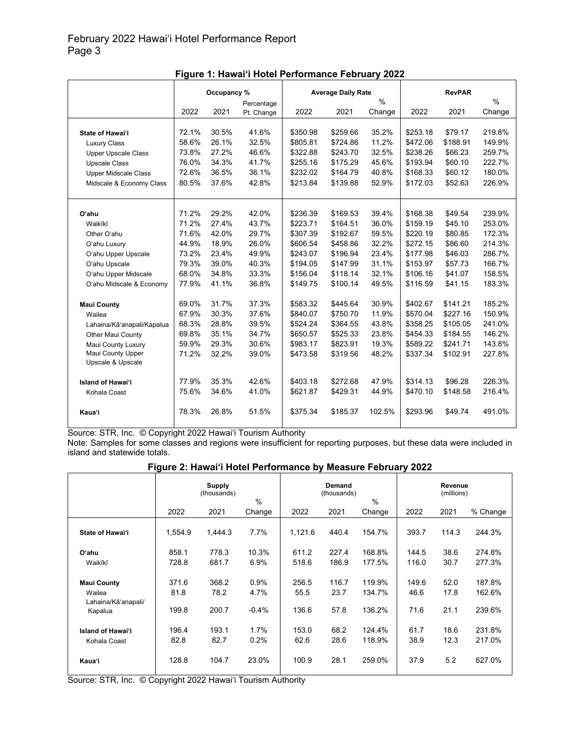|                             | Occupancy % |       |            |          | <b>Average Daily Rate</b> |               |          | <b>RevPAR</b> |        |  |
|-----------------------------|-------------|-------|------------|----------|---------------------------|---------------|----------|---------------|--------|--|
|                             |             |       | Percentage |          |                           | $\frac{0}{0}$ |          |               | $\%$   |  |
|                             | 2022        | 2021  | Pt. Change | 2022     | 2021                      | Change        | 2022     | 2021          | Change |  |
|                             |             |       |            |          |                           |               |          |               |        |  |
| State of Hawai'i            | 72.1%       | 30.5% | 41.6%      | \$350.98 | \$259.66                  | 35.2%         | \$253.18 | \$79.17       | 219.8% |  |
| <b>Luxury Class</b>         | 58.6%       | 26.1% | 32.5%      | \$805.81 | \$724.86                  | 11.2%         | \$472.06 | \$188.91      | 149.9% |  |
| <b>Upper Upscale Class</b>  | 73.8%       | 27.2% | 46.6%      | \$322.88 | \$243.70                  | 32.5%         | \$238.26 | \$66.23       | 259.7% |  |
| <b>Upscale Class</b>        | 76.0%       | 34.3% | 41.7%      | \$255.16 | \$175.29                  | 45.6%         | \$193.94 | \$60.10       | 222.7% |  |
| <b>Upper Midscale Class</b> | 72.6%       | 36.5% | 36.1%      | \$232.02 | \$164.79                  | 40.8%         | \$168.33 | \$60.12       | 180.0% |  |
| Midscale & Economy Class    | 80.5%       | 37.6% | 42.8%      | \$213.84 | \$139.88                  | 52.9%         | \$172.03 | \$52.63       | 226.9% |  |
|                             |             |       |            |          |                           |               |          |               |        |  |
| O'ahu                       | 71.2%       | 29.2% | 42.0%      | \$236.39 | \$169.53                  | 39.4%         | \$168.38 | \$49.54       | 239.9% |  |
| Waikīkī                     | 71.2%       | 27.4% | 43.7%      | \$223.71 | \$164.51                  | 36.0%         | \$159.19 | \$45.10       | 253.0% |  |
| Other O'ahu                 | 71.6%       | 42.0% | 29.7%      | \$307.39 | \$192.67                  | 59.5%         | \$220.19 | \$80.85       | 172.3% |  |
| O'ahu Luxury                | 44.9%       | 18.9% | 26.0%      | \$606.54 | \$458.86                  | 32.2%         | \$272.15 | \$86.60       | 214.3% |  |
| O'ahu Upper Upscale         | 73.2%       | 23.4% | 49.9%      | \$243.07 | \$196.94                  | 23.4%         | \$177.98 | \$46.03       | 286.7% |  |
| O'ahu Upscale               | 79.3%       | 39.0% | 40.3%      | \$194.05 | \$147.99                  | 31.1%         | \$153.97 | \$57.73       | 166.7% |  |
| O'ahu Upper Midscale        | 68.0%       | 34.8% | 33.3%      | \$156.04 | \$118.14                  | 32.1%         | \$106.16 | \$41.07       | 158.5% |  |
| O'ahu Midscale & Economy    | 77.9%       | 41.1% | 36.8%      | \$149.75 | \$100.14                  | 49.5%         | \$116.59 | \$41.15       | 183.3% |  |
| <b>Maui County</b>          | 69.0%       | 31.7% | 37.3%      | \$583.32 | \$445.64                  | 30.9%         | \$402.67 | \$141.21      | 185.2% |  |
| Wailea                      | 67.9%       | 30.3% | 37.6%      | \$840.07 | \$750.70                  | 11.9%         | \$570.04 | \$227.16      | 150.9% |  |
| Lahaina/Kā'anapali/Kapalua  | 68.3%       | 28.8% | 39.5%      | \$524.24 | \$364.55                  | 43.8%         | \$358.25 | \$105.05      | 241.0% |  |
| <b>Other Maui County</b>    | 69.8%       | 35.1% | 34.7%      | \$650.57 | \$525.33                  | 23.8%         | \$454.33 | \$184.55      | 146.2% |  |
| Maui County Luxury          | 59.9%       | 29.3% | 30.6%      | \$983.17 | \$823.91                  | 19.3%         | \$589.22 | \$241.71      | 143.8% |  |
| Maui County Upper           | 71.2%       | 32.2% | 39.0%      | \$473.58 | \$319.56                  | 48.2%         | \$337.34 | \$102.91      | 227.8% |  |
| Upscale & Upscale           |             |       |            |          |                           |               |          |               |        |  |
| <b>Island of Hawai'i</b>    | 77.9%       | 35.3% | 42.6%      | \$403.18 | \$272.68                  | 47.9%         | \$314.13 | \$96.28       | 226.3% |  |
| Kohala Coast                | 75.6%       | 34.6% | 41.0%      | \$621.87 | \$429.31                  | 44.9%         | \$470.10 | \$148.58      | 216.4% |  |
| <b>Kaua'i</b>               | 78.3%       | 26.8% | 51.5%      | \$375.34 | \$185.37                  | 102.5%        | \$293.96 | \$49.74       | 491.0% |  |

Note: Samples for some classes and regions were insufficient for reporting purposes, but these data were included in island and statewide totals.

#### **Figure 2: Hawai'i Hotel Performance by Measure February 2022**

|                                                                | <b>Supply</b><br>(thousands)<br>% |                        |                         |                        | Demand<br>(thousands) | $\frac{0}{0}$              | Revenue<br>(millions) |                      |                            |
|----------------------------------------------------------------|-----------------------------------|------------------------|-------------------------|------------------------|-----------------------|----------------------------|-----------------------|----------------------|----------------------------|
|                                                                | 2022                              | 2021                   | Change                  | 2022                   | 2021                  | Change                     | 2022                  | 2021                 | % Change                   |
| State of Hawai'i                                               | 1,554.9                           | 1,444.3                | 7.7%                    | 1,121.6                | 440.4                 | 154.7%                     | 393.7                 | 114.3                | 244.3%                     |
| O'ahu                                                          | 858.1                             | 778.3                  | 10.3%                   | 611.2                  | 227.4                 | 168.8%                     | 144.5                 | 38.6                 | 274.8%                     |
| Waikīkī                                                        | 728.8                             | 681.7                  | 6.9%                    | 518.6                  | 186.9                 | 177.5%                     | 116.0                 | 30.7                 | 277.3%                     |
| <b>Maui County</b><br>Wailea<br>Lahaina/Kāʻanapali/<br>Kapalua | 371.6<br>81.8<br>199.8            | 368.2<br>78.2<br>200.7 | 0.9%<br>4.7%<br>$-0.4%$ | 256.5<br>55.5<br>136.6 | 116.7<br>23.7<br>57.8 | 119.9%<br>134.7%<br>136.2% | 149.6<br>46.6<br>71.6 | 52.0<br>17.8<br>21.1 | 187.8%<br>162.6%<br>239.6% |
| <b>Island of Hawai'i</b><br>Kohala Coast                       | 196.4<br>82.8                     | 193.1<br>82.7          | 1.7%<br>0.2%            | 153.0<br>62.6          | 68.2<br>28.6          | 124.4%<br>118.9%           | 61.7<br>38.9          | 18.6<br>12.3         | 231.8%<br>217.0%           |
| Kaua'i                                                         | 128.8                             | 104.7                  | 23.0%                   | 100.9                  | 28.1                  | 259.0%                     | 37.9                  | 5.2                  | 627.0%                     |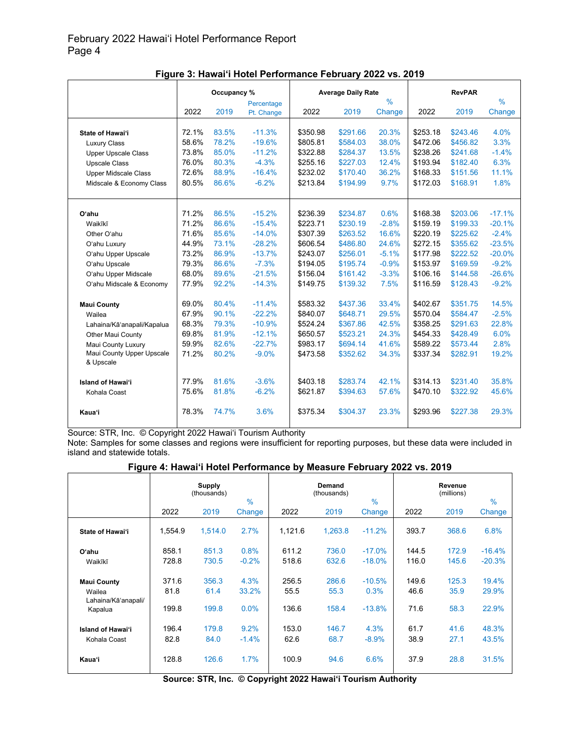|                             | Occupancy % |       |            | <b>Average Daily Rate</b> |          |               |          | <b>RevPAR</b> |               |
|-----------------------------|-------------|-------|------------|---------------------------|----------|---------------|----------|---------------|---------------|
|                             |             |       | Percentage |                           |          | $\frac{0}{0}$ |          |               | $\frac{0}{0}$ |
|                             | 2022        | 2019  | Pt. Change | 2022                      | 2019     | Change        | 2022     | 2019          | Change        |
|                             |             |       |            |                           |          |               |          |               |               |
| State of Hawai'i            | 72.1%       | 83.5% | $-11.3%$   | \$350.98                  | \$291.66 | 20.3%         | \$253.18 | \$243.46      | 4.0%          |
| <b>Luxury Class</b>         | 58.6%       | 78.2% | $-19.6%$   | \$805.81                  | \$584.03 | 38.0%         | \$472.06 | \$456.82      | 3.3%          |
| <b>Upper Upscale Class</b>  | 73.8%       | 85.0% | $-11.2%$   | \$322.88                  | \$284.37 | 13.5%         | \$238.26 | \$241.68      | $-1.4%$       |
| <b>Upscale Class</b>        | 76.0%       | 80.3% | $-4.3%$    | \$255.16                  | \$227.03 | 12.4%         | \$193.94 | \$182.40      | 6.3%          |
| <b>Upper Midscale Class</b> | 72.6%       | 88.9% | $-16.4%$   | \$232.02                  | \$170.40 | 36.2%         | \$168.33 | \$151.56      | 11.1%         |
| Midscale & Economy Class    | 80.5%       | 86.6% | $-6.2%$    | \$213.84                  | \$194.99 | 9.7%          | \$172.03 | \$168.91      | 1.8%          |
|                             |             |       |            |                           |          |               |          |               |               |
|                             |             |       |            |                           |          |               |          |               |               |
| Oʻahu                       | 71.2%       | 86.5% | $-15.2%$   | \$236.39                  | \$234.87 | 0.6%          | \$168.38 | \$203.06      | $-17.1%$      |
| Waikīkī                     | 71.2%       | 86.6% | $-15.4%$   | \$223.71                  | \$230.19 | $-2.8%$       | \$159.19 | \$199.33      | $-20.1%$      |
| Other O'ahu                 | 71.6%       | 85.6% | $-14.0%$   | \$307.39                  | \$263.52 | 16.6%         | \$220.19 | \$225.62      | $-2.4%$       |
| O'ahu Luxury                | 44.9%       | 73.1% | $-28.2%$   | \$606.54                  | \$486.80 | 24.6%         | \$272.15 | \$355.62      | $-23.5%$      |
| O'ahu Upper Upscale         | 73.2%       | 86.9% | $-13.7%$   | \$243.07                  | \$256.01 | $-5.1%$       | \$177.98 | \$222.52      | $-20.0%$      |
| O'ahu Upscale               | 79.3%       | 86.6% | $-7.3%$    | \$194.05                  | \$195.74 | $-0.9%$       | \$153.97 | \$169.59      | $-9.2%$       |
| O'ahu Upper Midscale        | 68.0%       | 89.6% | $-21.5%$   | \$156.04                  | \$161.42 | $-3.3%$       | \$106.16 | \$144.58      | $-26.6%$      |
| O'ahu Midscale & Economy    | 77.9%       | 92.2% | $-14.3%$   | \$149.75                  | \$139.32 | 7.5%          | \$116.59 | \$128.43      | $-9.2%$       |
|                             |             |       |            |                           |          |               |          |               |               |
| <b>Maui County</b>          | 69.0%       | 80.4% | $-11.4%$   | \$583.32                  | \$437.36 | 33.4%         | \$402.67 | \$351.75      | 14.5%         |
| Wailea                      | 67.9%       | 90.1% | $-22.2%$   | \$840.07                  | \$648.71 | 29.5%         | \$570.04 | \$584.47      | $-2.5%$       |
| Lahaina/Kā'anapali/Kapalua  | 68.3%       | 79.3% | $-10.9%$   | \$524.24                  | \$367.86 | 42.5%         | \$358.25 | \$291.63      | 22.8%         |
| <b>Other Maui County</b>    | 69.8%       | 81.9% | $-12.1%$   | \$650.57                  | \$523.21 | 24.3%         | \$454.33 | \$428.49      | 6.0%          |
| Maui County Luxury          | 59.9%       | 82.6% | $-22.7%$   | \$983.17                  | \$694.14 | 41.6%         | \$589.22 | \$573.44      | 2.8%          |
| Maui County Upper Upscale   | 71.2%       | 80.2% | $-9.0%$    | \$473.58                  | \$352.62 | 34.3%         | \$337.34 | \$282.91      | 19.2%         |
| & Upscale                   |             |       |            |                           |          |               |          |               |               |
| <b>Island of Hawai'i</b>    | 77.9%       | 81.6% | $-3.6%$    | \$403.18                  | \$283.74 | 42.1%         | \$314.13 | \$231.40      | 35.8%         |
|                             | 75.6%       | 81.8% | $-6.2%$    | \$621.87                  | \$394.63 | 57.6%         | \$470.10 | \$322.92      | 45.6%         |
| Kohala Coast                |             |       |            |                           |          |               |          |               |               |
| Kaua'i                      | 78.3%       | 74.7% | 3.6%       | \$375.34                  | \$304.37 | 23.3%         | \$293.96 | \$227.38      | 29.3%         |

**Figure 3: Hawai'i Hotel Performance February 2022 vs. 2019**

Note: Samples for some classes and regions were insufficient for reporting purposes, but these data were included in island and statewide totals.

#### **Figure 4: Hawai'i Hotel Performance by Measure February 2022 vs. 2019**

|                                          |               | <b>Supply</b><br>(thousands) | $\frac{0}{0}$   |               | Demand<br>(thousands) | $\frac{0}{0}$    |               | Revenue<br>(millions) | $\frac{0}{0}$  |
|------------------------------------------|---------------|------------------------------|-----------------|---------------|-----------------------|------------------|---------------|-----------------------|----------------|
|                                          | 2022          | 2019                         | Change          | 2022          | 2019                  | Change           | 2022          | 2019                  | Change         |
| State of Hawai'i                         | 1,554.9       | 1,514.0                      | 2.7%            | 1,121.6       | 1,263.8               | $-11.2%$         | 393.7         | 368.6                 | 6.8%           |
| O'ahu                                    | 858.1         | 851.3                        | 0.8%            | 611.2         | 736.0                 | $-17.0%$         | 144.5         | 172.9                 | $-16.4%$       |
| Waikīkī                                  | 728.8         | 730.5                        | $-0.2%$         | 518.6         | 632.6                 | $-18.0%$         | 116.0         | 145.6                 | $-20.3%$       |
| <b>Maui County</b><br>Wailea             | 371.6<br>81.8 | 356.3<br>61.4                | 4.3%<br>33.2%   | 256.5<br>55.5 | 286.6<br>55.3         | $-10.5%$<br>0.3% | 149.6<br>46.6 | 125.3<br>35.9         | 19.4%<br>29.9% |
| Lahaina/Kā'anapali/<br>Kapalua           | 199.8         | 199.8                        | 0.0%            | 136.6         | 158.4                 | $-13.8%$         | 71.6          | 58.3                  | 22.9%          |
| <b>Island of Hawai'i</b><br>Kohala Coast | 196.4<br>82.8 | 179.8<br>84.0                | 9.2%<br>$-1.4%$ | 153.0<br>62.6 | 146.7<br>68.7         | 4.3%<br>$-8.9%$  | 61.7<br>38.9  | 41.6<br>27.1          | 48.3%<br>43.5% |
| <b>Kaua</b> 'i                           | 128.8         | 126.6                        | 1.7%            | 100.9         | 94.6                  | 6.6%             | 37.9          | 28.8                  | 31.5%          |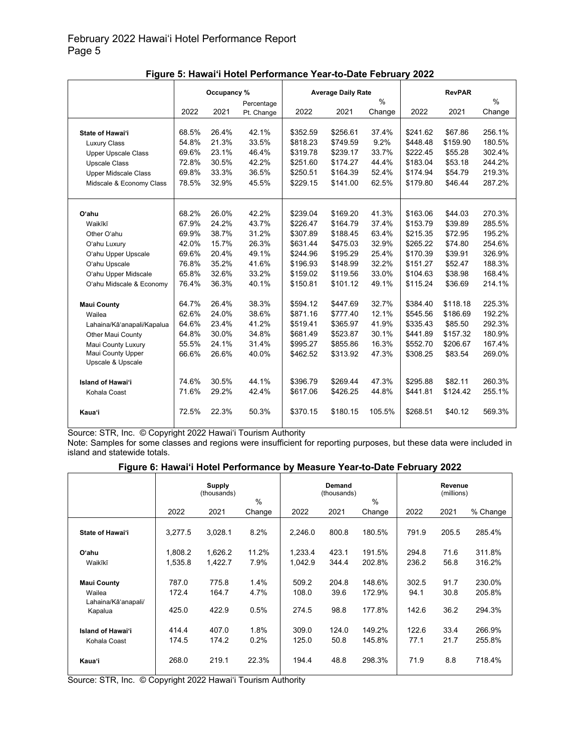|                             | Occupancy % |       |            |          | <b>Average Daily Rate</b> |               |          | <b>RevPAR</b> |               |  |
|-----------------------------|-------------|-------|------------|----------|---------------------------|---------------|----------|---------------|---------------|--|
|                             |             |       | Percentage |          |                           | $\frac{0}{0}$ |          |               | $\frac{0}{0}$ |  |
|                             | 2022        | 2021  | Pt. Change | 2022     | 2021                      | Change        | 2022     | 2021          | Change        |  |
|                             |             |       |            |          |                           |               |          |               |               |  |
| State of Hawai'i            | 68.5%       | 26.4% | 42.1%      | \$352.59 | \$256.61                  | 37.4%         | \$241.62 | \$67.86       | 256.1%        |  |
| <b>Luxury Class</b>         | 54.8%       | 21.3% | 33.5%      | \$818.23 | \$749.59                  | 9.2%          | \$448.48 | \$159.90      | 180.5%        |  |
| <b>Upper Upscale Class</b>  | 69.6%       | 23.1% | 46.4%      | \$319.78 | \$239.17                  | 33.7%         | \$222.45 | \$55.28       | 302.4%        |  |
| <b>Upscale Class</b>        | 72.8%       | 30.5% | 42.2%      | \$251.60 | \$174.27                  | 44.4%         | \$183.04 | \$53.18       | 244.2%        |  |
| <b>Upper Midscale Class</b> | 69.8%       | 33.3% | 36.5%      | \$250.51 | \$164.39                  | 52.4%         | \$174.94 | \$54.79       | 219.3%        |  |
| Midscale & Economy Class    | 78.5%       | 32.9% | 45.5%      | \$229.15 | \$141.00                  | 62.5%         | \$179.80 | \$46.44       | 287.2%        |  |
|                             |             |       |            |          |                           |               |          |               |               |  |
|                             |             |       |            |          |                           |               |          |               |               |  |
| O'ahu                       | 68.2%       | 26.0% | 42.2%      | \$239.04 | \$169.20                  | 41.3%         | \$163.06 | \$44.03       | 270.3%        |  |
| Waikīkī                     | 67.9%       | 24.2% | 43.7%      | \$226.47 | \$164.79                  | 37.4%         | \$153.79 | \$39.89       | 285.5%        |  |
| Other O'ahu                 | 69.9%       | 38.7% | 31.2%      | \$307.89 | \$188.45                  | 63.4%         | \$215.35 | \$72.95       | 195.2%        |  |
| O'ahu Luxury                | 42.0%       | 15.7% | 26.3%      | \$631.44 | \$475.03                  | 32.9%         | \$265.22 | \$74.80       | 254.6%        |  |
| O'ahu Upper Upscale         | 69.6%       | 20.4% | 49.1%      | \$244.96 | \$195.29                  | 25.4%         | \$170.39 | \$39.91       | 326.9%        |  |
| O'ahu Upscale               | 76.8%       | 35.2% | 41.6%      | \$196.93 | \$148.99                  | 32.2%         | \$151.27 | \$52.47       | 188.3%        |  |
| O'ahu Upper Midscale        | 65.8%       | 32.6% | 33.2%      | \$159.02 | \$119.56                  | 33.0%         | \$104.63 | \$38.98       | 168.4%        |  |
| O'ahu Midscale & Economy    | 76.4%       | 36.3% | 40.1%      | \$150.81 | \$101.12                  | 49.1%         | \$115.24 | \$36.69       | 214.1%        |  |
|                             |             |       |            |          |                           |               |          |               |               |  |
| <b>Maui County</b>          | 64.7%       | 26.4% | 38.3%      | \$594.12 | \$447.69                  | 32.7%         | \$384.40 | \$118.18      | 225.3%        |  |
| Wailea                      | 62.6%       | 24.0% | 38.6%      | \$871.16 | \$777.40                  | 12.1%         | \$545.56 | \$186.69      | 192.2%        |  |
| Lahaina/Kā'anapali/Kapalua  | 64.6%       | 23.4% | 41.2%      | \$519.41 | \$365.97                  | 41.9%         | \$335.43 | \$85.50       | 292.3%        |  |
| <b>Other Maui County</b>    | 64.8%       | 30.0% | 34.8%      | \$681.49 | \$523.87                  | 30.1%         | \$441.89 | \$157.32      | 180.9%        |  |
| Maui County Luxury          | 55.5%       | 24.1% | 31.4%      | \$995.27 | \$855.86                  | 16.3%         | \$552.70 | \$206.67      | 167.4%        |  |
| Maui County Upper           | 66.6%       | 26.6% | 40.0%      | \$462.52 | \$313.92                  | 47.3%         | \$308.25 | \$83.54       | 269.0%        |  |
| Upscale & Upscale           |             |       |            |          |                           |               |          |               |               |  |
| <b>Island of Hawai'i</b>    | 74.6%       | 30.5% | 44.1%      | \$396.79 | \$269.44                  | 47.3%         | \$295.88 | \$82.11       | 260.3%        |  |
| Kohala Coast                | 71.6%       | 29.2% | 42.4%      | \$617.06 | \$426.25                  | 44.8%         | \$441.81 | \$124.42      | 255.1%        |  |
|                             |             |       |            |          |                           |               |          |               |               |  |
| Kaua'i                      | 72.5%       | 22.3% | 50.3%      | \$370.15 | \$180.15                  | 105.5%        | \$268.51 | \$40.12       | 569.3%        |  |

**Figure 5: Hawai'i Hotel Performance Year-to-Date February 2022**

Note: Samples for some classes and regions were insufficient for reporting purposes, but these data were included in island and statewide totals.

#### **Figure 6: Hawai'i Hotel Performance by Measure Year-to-Date February 2022**

|                                                     | <b>Supply</b><br>(thousands)<br>$\%$ |                         |                      |                         | Demand<br>(thousands) | $\%$                       | Revenue<br>(millions)  |                      |                            |
|-----------------------------------------------------|--------------------------------------|-------------------------|----------------------|-------------------------|-----------------------|----------------------------|------------------------|----------------------|----------------------------|
|                                                     | 2022                                 | 2021                    | Change               | 2022                    | 2021                  | Change                     | 2022                   | 2021                 | % Change                   |
| State of Hawai'i                                    | 3,277.5                              | 3,028.1                 | 8.2%                 | 2,246.0                 | 800.8                 | 180.5%                     | 791.9                  | 205.5                | 285.4%                     |
| Oʻahu                                               | 1.808.2                              | 1.626.2                 | 11.2%                | 1,233.4                 | 423.1                 | 191.5%                     | 294.8                  | 71.6                 | 311.8%                     |
| Waikīkī                                             | 1,535.8                              | 1,422.7                 | 7.9%                 | 1,042.9                 | 344.4                 | 202.8%                     | 236.2                  | 56.8                 | 316.2%                     |
| <b>Maui County</b><br>Wailea<br>Lahaina/Kāʻanapali/ | 787.0<br>172.4<br>425.0              | 775.8<br>164.7<br>422.9 | 1.4%<br>4.7%<br>0.5% | 509.2<br>108.0<br>274.5 | 204.8<br>39.6<br>98.8 | 148.6%<br>172.9%<br>177.8% | 302.5<br>94.1<br>142.6 | 91.7<br>30.8<br>36.2 | 230.0%<br>205.8%<br>294.3% |
| Kapalua                                             |                                      |                         |                      |                         |                       |                            |                        |                      |                            |
| <b>Island of Hawai'i</b>                            | 414.4                                | 407.0                   | 1.8%                 | 309.0                   | 124.0                 | 149.2%                     | 122.6                  | 33.4                 | 266.9%                     |
| Kohala Coast                                        | 174.5                                | 174.2                   | 0.2%                 | 125.0                   | 50.8                  | 145.8%                     | 77.1                   | 21.7                 | 255.8%                     |
| <b>Kaua'i</b>                                       | 268.0                                | 219.1                   | 22.3%                | 194.4                   | 48.8                  | 298.3%                     | 71.9                   | 8.8                  | 718.4%                     |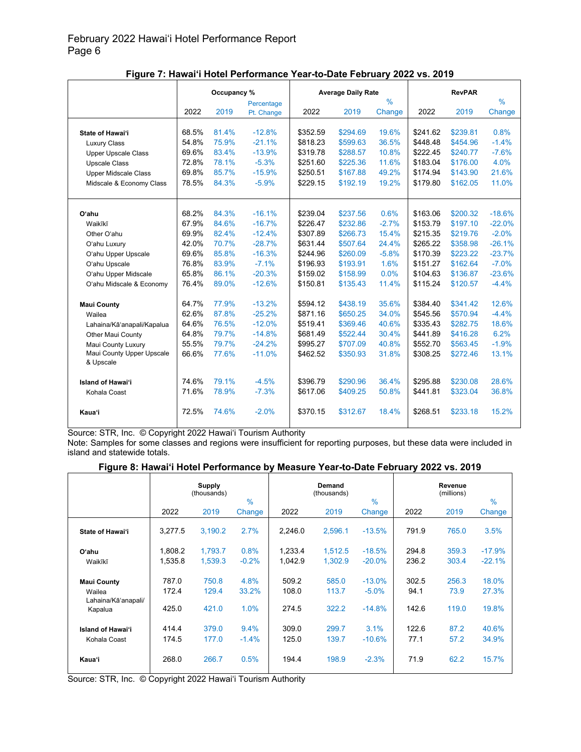|                             | Occupancy % |       |            | <b>Average Daily Rate</b> |          |               |          |          |          |
|-----------------------------|-------------|-------|------------|---------------------------|----------|---------------|----------|----------|----------|
|                             |             |       | Percentage |                           |          | $\frac{9}{6}$ |          |          | $\%$     |
|                             | 2022        | 2019  | Pt. Change | 2022                      | 2019     | Change        | 2022     | 2019     | Change   |
|                             |             |       |            |                           |          |               |          |          |          |
| State of Hawai'i            | 68.5%       | 81.4% | $-12.8%$   | \$352.59                  | \$294.69 | 19.6%         | \$241.62 | \$239.81 | 0.8%     |
| <b>Luxury Class</b>         | 54.8%       | 75.9% | $-21.1%$   | \$818.23                  | \$599.63 | 36.5%         | \$448.48 | \$454.96 | $-1.4%$  |
| <b>Upper Upscale Class</b>  | 69.6%       | 83.4% | $-13.9%$   | \$319.78                  | \$288.57 | 10.8%         | \$222.45 | \$240.77 | $-7.6%$  |
| <b>Upscale Class</b>        | 72.8%       | 78.1% | $-5.3%$    | \$251.60                  | \$225.36 | 11.6%         | \$183.04 | \$176.00 | 4.0%     |
| <b>Upper Midscale Class</b> | 69.8%       | 85.7% | $-15.9%$   | \$250.51                  | \$167.88 | 49.2%         | \$174.94 | \$143.90 | 21.6%    |
| Midscale & Economy Class    | 78.5%       | 84.3% | $-5.9%$    | \$229.15                  | \$192.19 | 19.2%         | \$179.80 | \$162.05 | 11.0%    |
|                             |             |       |            |                           |          |               |          |          |          |
|                             |             |       |            |                           |          |               |          |          |          |
| O'ahu                       | 68.2%       | 84.3% | $-16.1%$   | \$239.04                  | \$237.56 | 0.6%          | \$163.06 | \$200.32 | $-18.6%$ |
| Waikīkī                     | 67.9%       | 84.6% | $-16.7%$   | \$226.47                  | \$232.86 | $-2.7%$       | \$153.79 | \$197.10 | $-22.0%$ |
| Other O'ahu                 | 69.9%       | 82.4% | $-12.4%$   | \$307.89                  | \$266.73 | 15.4%         | \$215.35 | \$219.76 | $-2.0%$  |
| O'ahu Luxury                | 42.0%       | 70.7% | $-28.7%$   | \$631.44                  | \$507.64 | 24.4%         | \$265.22 | \$358.98 | $-26.1%$ |
| O'ahu Upper Upscale         | 69.6%       | 85.8% | $-16.3%$   | \$244.96                  | \$260.09 | $-5.8%$       | \$170.39 | \$223.22 | $-23.7%$ |
| O'ahu Upscale               | 76.8%       | 83.9% | $-7.1%$    | \$196.93                  | \$193.91 | 1.6%          | \$151.27 | \$162.64 | $-7.0%$  |
| O'ahu Upper Midscale        | 65.8%       | 86.1% | $-20.3%$   | \$159.02                  | \$158.99 | 0.0%          | \$104.63 | \$136.87 | $-23.6%$ |
| O'ahu Midscale & Economy    | 76.4%       | 89.0% | $-12.6%$   | \$150.81                  | \$135.43 | 11.4%         | \$115.24 | \$120.57 | $-4.4%$  |
|                             |             |       |            |                           |          |               |          |          |          |
| <b>Maui County</b>          | 64.7%       | 77.9% | $-13.2%$   | \$594.12                  | \$438.19 | 35.6%         | \$384.40 | \$341.42 | 12.6%    |
| Wailea                      | 62.6%       | 87.8% | $-25.2%$   | \$871.16                  | \$650.25 | 34.0%         | \$545.56 | \$570.94 | $-4.4%$  |
| Lahaina/Kā'anapali/Kapalua  | 64.6%       | 76.5% | $-12.0%$   | \$519.41                  | \$369.46 | 40.6%         | \$335.43 | \$282.75 | 18.6%    |
| <b>Other Maui County</b>    | 64.8%       | 79.7% | $-14.8%$   | \$681.49                  | \$522.44 | 30.4%         | \$441.89 | \$416.28 | 6.2%     |
| Maui County Luxury          | 55.5%       | 79.7% | $-24.2%$   | \$995.27                  | \$707.09 | 40.8%         | \$552.70 | \$563.45 | $-1.9%$  |
| Maui County Upper Upscale   | 66.6%       | 77.6% | $-11.0%$   | \$462.52                  | \$350.93 | 31.8%         | \$308.25 | \$272.46 | 13.1%    |
| & Upscale                   |             |       |            |                           |          |               |          |          |          |
| <b>Island of Hawai'i</b>    | 74.6%       | 79.1% | $-4.5%$    | \$396.79                  | \$290.96 | 36.4%         | \$295.88 | \$230.08 | 28.6%    |
|                             |             |       |            |                           |          |               |          |          |          |
| Kohala Coast                | 71.6%       | 78.9% | $-7.3%$    | \$617.06                  | \$409.25 | 50.8%         | \$441.81 | \$323.04 | 36.8%    |
| Kaua'i                      | 72.5%       | 74.6% | $-2.0%$    | \$370.15                  | \$312.67 | 18.4%         | \$268.51 | \$233.18 | 15.2%    |

**Figure 7: Hawai'i Hotel Performance Year-to-Date February 2022 vs. 2019**

Note: Samples for some classes and regions were insufficient for reporting purposes, but these data were included in island and statewide totals.

#### **Figure 8: Hawai'i Hotel Performance by Measure Year-to-Date February 2022 vs. 2019**

|                               |         | <b>Supply</b><br>(thousands) | $\frac{0}{0}$ |         | Demand<br>(thousands) | $\frac{0}{0}$ |       | Revenue<br>(millions) | $\frac{0}{0}$ |
|-------------------------------|---------|------------------------------|---------------|---------|-----------------------|---------------|-------|-----------------------|---------------|
|                               | 2022    | 2019                         | Change        | 2022    | 2019                  | Change        | 2022  | 2019                  | Change        |
| State of Hawai'i              | 3,277.5 | 3,190.2                      | 2.7%          | 2,246.0 | 2,596.1               | $-13.5%$      | 791.9 | 765.0                 | 3.5%          |
| O'ahu                         | 1.808.2 | 1.793.7                      | 0.8%          | 1.233.4 | 1.512.5               | $-18.5%$      | 294.8 | 359.3                 | $-17.9%$      |
| Waikīkī                       | 1.535.8 | 1,539.3                      | $-0.2%$       | 1.042.9 | 1.302.9               | $-20.0%$      | 236.2 | 303.4                 | $-22.1%$      |
| <b>Maui County</b>            | 787.0   | 750.8                        | 4.8%          | 509.2   | 585.0                 | $-13.0%$      | 302.5 | 256.3                 | 18.0%         |
| Wailea<br>Lahaina/Kā'anapali/ | 172.4   | 129.4                        | 33.2%         | 108.0   | 113.7                 | $-5.0%$       | 94.1  | 73.9                  | 27.3%         |
| Kapalua                       | 425.0   | 421.0                        | 1.0%          | 274.5   | 322.2                 | $-14.8%$      | 142.6 | 119.0                 | 19.8%         |
| <b>Island of Hawai'i</b>      | 414.4   | 379.0                        | 9.4%          | 309.0   | 299.7                 | 3.1%          | 122.6 | 87.2                  | 40.6%         |
| Kohala Coast                  | 174.5   | 177.0                        | $-1.4%$       | 125.0   | 139.7                 | $-10.6%$      | 77.1  | 57.2                  | 34.9%         |
| Kaua'i                        | 268.0   | 266.7                        | 0.5%          | 194.4   | 198.9                 | $-2.3%$       | 71.9  | 62.2                  | 15.7%         |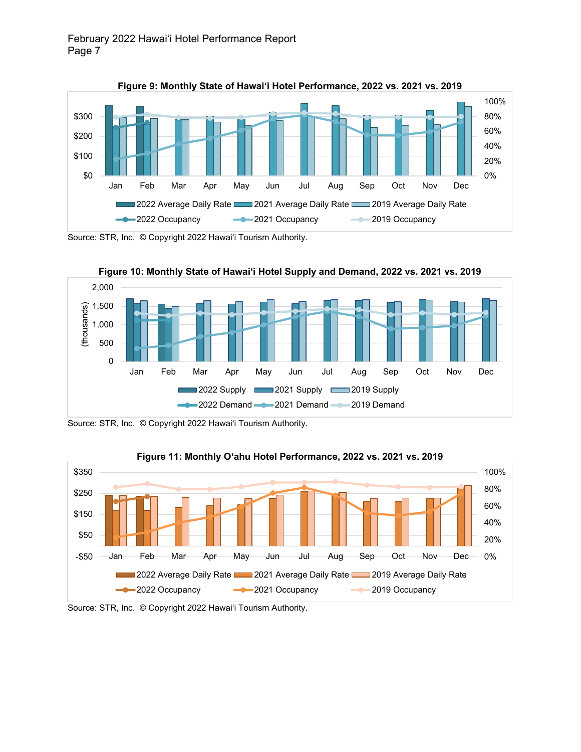



Source: STR, Inc. © Copyright 2022 Hawai'i Tourism Authority.



Source: STR, Inc. © Copyright 2022 Hawai'i Tourism Authority.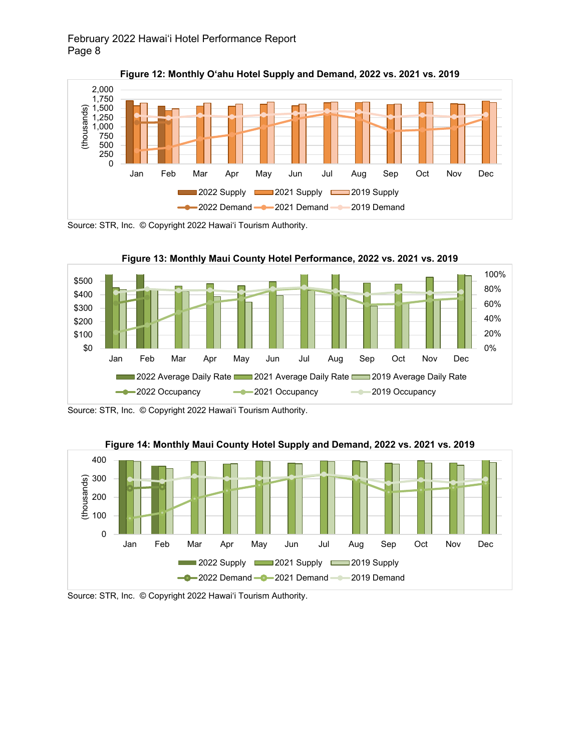

**Figure 12: Monthly O'ahu Hotel Supply and Demand, 2022 vs. 2021 vs. 2019**

Source: STR, Inc. © Copyright 2022 Hawai'i Tourism Authority.









Source: STR, Inc. © Copyright 2022 Hawai'i Tourism Authority.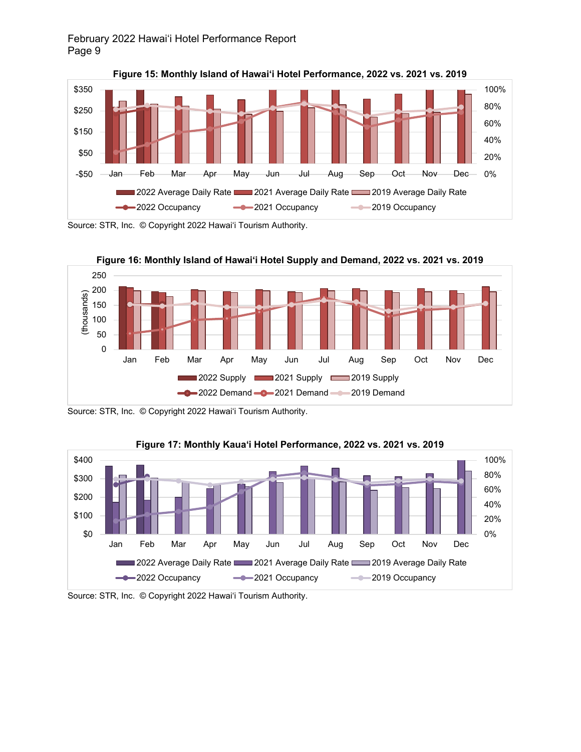

**Figure 15: Monthly Island of Hawai'i Hotel Performance, 2022 vs. 2021 vs. 2019**







Source: STR, Inc. © Copyright 2022 Hawai'i Tourism Authority.